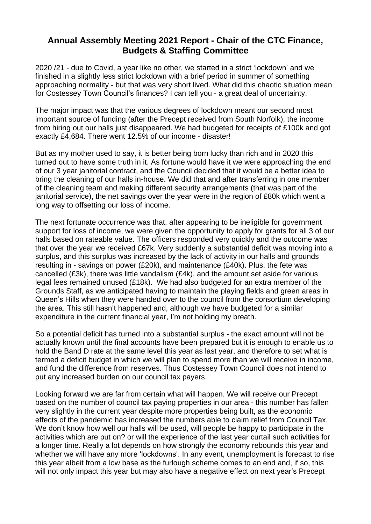## **Annual Assembly Meeting 2021 Report - Chair of the CTC Finance, Budgets & Staffing Committee**

2020 /21 - due to Covid, a year like no other, we started in a strict 'lockdown' and we finished in a slightly less strict lockdown with a brief period in summer of something approaching normality - but that was very short lived. What did this chaotic situation mean for Costessey Town Council's finances? I can tell you - a great deal of uncertainty.

The major impact was that the various degrees of lockdown meant our second most important source of funding (after the Precept received from South Norfolk), the income from hiring out our halls just disappeared. We had budgeted for receipts of £100k and got exactly £4,684. There went 12.5% of our income - disaster!

But as my mother used to say, it is better being born lucky than rich and in 2020 this turned out to have some truth in it. As fortune would have it we were approaching the end of our 3 year janitorial contract, and the Council decided that it would be a better idea to bring the cleaning of our halls in-house. We did that and after transferring in one member of the cleaning team and making different security arrangements (that was part of the janitorial service), the net savings over the year were in the region of £80k which went a long way to offsetting our loss of income.

The next fortunate occurrence was that, after appearing to be ineligible for government support for loss of income, we were given the opportunity to apply for grants for all 3 of our halls based on rateable value. The officers responded very quickly and the outcome was that over the year we received £67k. Very suddenly a substantial deficit was moving into a surplus, and this surplus was increased by the lack of activity in our halls and grounds resulting in - savings on power (£20k), and maintenance (£40k). Plus, the fete was cancelled (£3k), there was little vandalism (£4k), and the amount set aside for various legal fees remained unused (£18k). We had also budgeted for an extra member of the Grounds Staff, as we anticipated having to maintain the playing fields and green areas in Queen's Hills when they were handed over to the council from the consortium developing the area. This still hasn't happened and, although we have budgeted for a similar expenditure in the current financial year, I'm not holding my breath.

So a potential deficit has turned into a substantial surplus - the exact amount will not be actually known until the final accounts have been prepared but it is enough to enable us to hold the Band D rate at the same level this year as last year, and therefore to set what is termed a deficit budget in which we will plan to spend more than we will receive in income, and fund the difference from reserves. Thus Costessey Town Council does not intend to put any increased burden on our council tax payers.

Looking forward we are far from certain what will happen. We will receive our Precept based on the number of council tax paying properties in our area - this number has fallen very slightly in the current year despite more properties being built, as the economic effects of the pandemic has increased the numbers able to claim relief from Council Tax. We don't know how well our halls will be used, will people be happy to participate in the activities which are put on? or will the experience of the last year curtail such activities for a longer time. Really a lot depends on how strongly the economy rebounds this year and whether we will have any more 'lockdowns'. In any event, unemployment is forecast to rise this year albeit from a low base as the furlough scheme comes to an end and, if so, this will not only impact this year but may also have a negative effect on next year's Precept